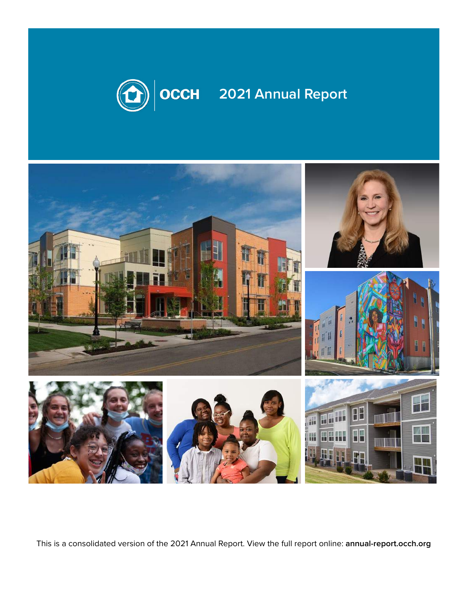

# **2021 Annual Report**



This is a consolidated version of the 2021 Annual Report. View the full report online: **annual-report.occh.org**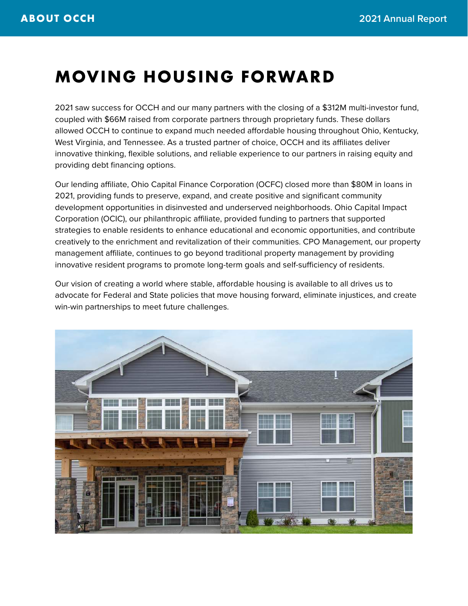### **MOVING HOUSING FORWARD**

2021 saw success for OCCH and our many partners with the closing of a \$312M multi-investor fund, coupled with \$66M raised from corporate partners through proprietary funds. These dollars allowed OCCH to continue to expand much needed affordable housing throughout Ohio, Kentucky, West Virginia, and Tennessee. As a trusted partner of choice, OCCH and its affiliates deliver innovative thinking, flexible solutions, and reliable experience to our partners in raising equity and providing debt financing options.

Our lending affiliate, Ohio Capital Finance Corporation (OCFC) closed more than \$80M in loans in 2021, providing funds to preserve, expand, and create positive and significant community development opportunities in disinvested and underserved neighborhoods. Ohio Capital Impact Corporation (OCIC), our philanthropic affiliate, provided funding to partners that supported strategies to enable residents to enhance educational and economic opportunities, and contribute creatively to the enrichment and revitalization of their communities. CPO Management, our property management affiliate, continues to go beyond traditional property management by providing innovative resident programs to promote long-term goals and self-sufficiency of residents.

Our vision of creating a world where stable, affordable housing is available to all drives us to advocate for Federal and State policies that move housing forward, eliminate injustices, and create win-win partnerships to meet future challenges.

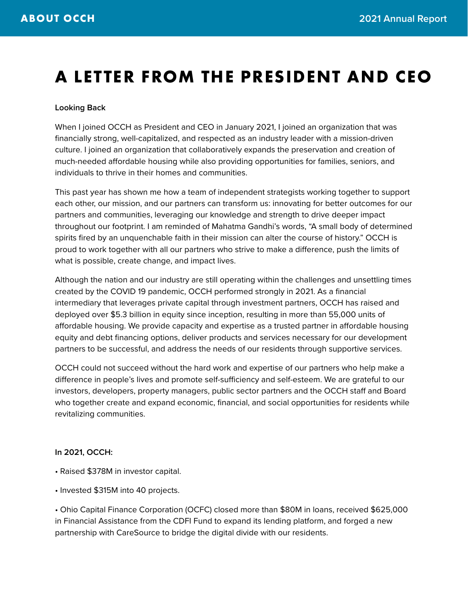### **A LETTER FROM THE PRESIDENT AND CEO**

#### **Looking Back**

When I joined OCCH as President and CEO in January 2021, I joined an organization that was financially strong, well-capitalized, and respected as an industry leader with a mission-driven culture. I joined an organization that collaboratively expands the preservation and creation of much-needed affordable housing while also providing opportunities for families, seniors, and individuals to thrive in their homes and communities.

This past year has shown me how a team of independent strategists working together to support each other, our mission, and our partners can transform us: innovating for better outcomes for our partners and communities, leveraging our knowledge and strength to drive deeper impact throughout our footprint. I am reminded of Mahatma Gandhi's words, "A small body of determined spirits fired by an unquenchable faith in their mission can alter the course of history." OCCH is proud to work together with all our partners who strive to make a difference, push the limits of what is possible, create change, and impact lives.

Although the nation and our industry are still operating within the challenges and unsettling times created by the COVID 19 pandemic, OCCH performed strongly in 2021. As a financial intermediary that leverages private capital through investment partners, OCCH has raised and deployed over \$5.3 billion in equity since inception, resulting in more than 55,000 units of affordable housing. We provide capacity and expertise as a trusted partner in affordable housing equity and debt financing options, deliver products and services necessary for our development partners to be successful, and address the needs of our residents through supportive services.

OCCH could not succeed without the hard work and expertise of our partners who help make a difference in people's lives and promote self-sufficiency and self-esteem. We are grateful to our investors, developers, property managers, public sector partners and the OCCH staff and Board who together create and expand economic, financial, and social opportunities for residents while revitalizing communities.

#### **In 2021, OCCH:**

- Raised \$378M in investor capital.
- Invested \$315M into 40 projects.

• Ohio Capital Finance Corporation (OCFC) closed more than \$80M in loans, received \$625,000 in Financial Assistance from the CDFI Fund to expand its lending platform, and forged a new partnership with CareSource to bridge the digital divide with our residents.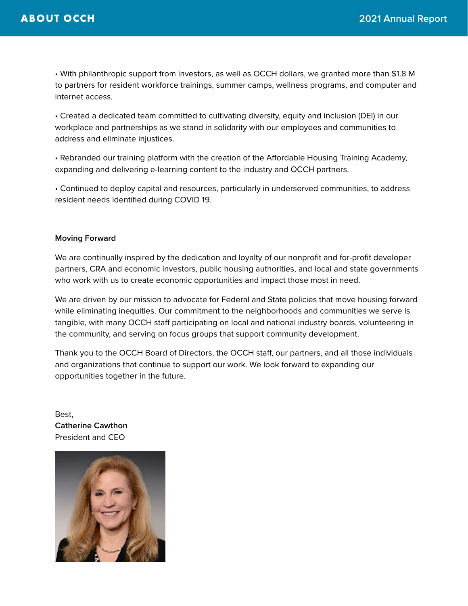• With philanthropic support from investors, as well as OCCH dollars, we granted more than \$1.8 M to partners for resident workforce trainings, summer camps, wellness programs, and computer and internet access.

• Created a dedicated team committed to cultivating diversity, equity and inclusion (DEI) in our workplace and partnerships as we stand in solidarity with our employees and communities to address and eliminate injustices.

• Rebranded our training platform with the creation of the Affordable Housing Training Academy, expanding and delivering e-learning content to the industry and OCCH partners.

• Continued to deploy capital and resources, particularly in underserved communities, to address resident needs identified during COVID 19.

#### **Moving Forward**

We are continually inspired by the dedication and loyalty of our nonprofit and for-profit developer partners, CRA and economic investors, public housing authorities, and local and state governments who work with us to create economic opportunities and impact those most in need.

We are driven by our mission to advocate for Federal and State policies that move housing forward while eliminating inequities. Our commitment to the neighborhoods and communities we serve is tangible, with many OCCH staff participating on local and national industry boards, volunteering in the community, and serving on focus groups that support community development.

Thank you to the OCCH Board of Directors, the OCCH staff, our partners, and all those individuals and organizations that continue to support our work. We look forward to expanding our opportunities together in the future.

Best, **Catherine Cawthon** President and CEO

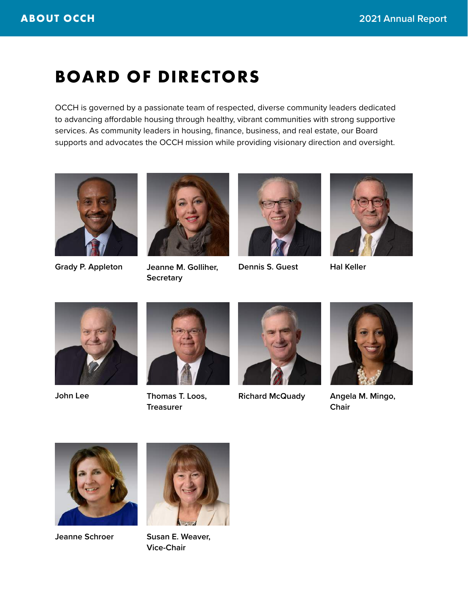### **BOARD OF DIRECTORS**

OCCH is governed by a passionate team of respected, diverse community leaders dedicated to advancing affordable housing through healthy, vibrant communities with strong supportive services. As community leaders in housing, finance, business, and real estate, our Board supports and advocates the OCCH mission while providing visionary direction and oversight.





**Jeanne M. Golliher, Secretary** Grady P. Appleton Jeanne M. Golliher, Dennis S. Guest





**Hal Keller**



**John Lee**



**Treasurer**



**Thomas T. Loos, Richard McQuady**



**Angela M. Mingo, Chair**



**Jeanne Schroer**



**Susan E. Weaver, Vice-Chair**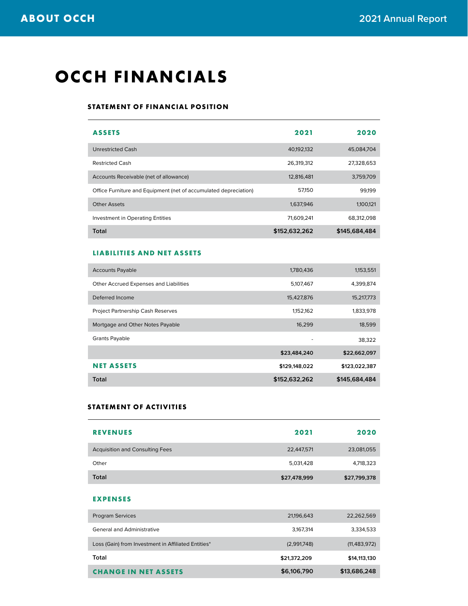### **OCCH FINANCIALS**

#### **STATEMENT OF FINANCIAL POSITION**

| <b>ASSETS</b>                                                    | 2021          | 2020          |
|------------------------------------------------------------------|---------------|---------------|
| Unrestricted Cash                                                | 40.192.132    | 45.084.704    |
| <b>Restricted Cash</b>                                           | 26,319,312    | 27,328,653    |
| Accounts Receivable (net of allowance)                           | 12,816,481    | 3,759,709     |
| Office Furniture and Equipment (net of accumulated depreciation) | 57.150        | 99,199        |
| <b>Other Assets</b>                                              | 1,637,946     | 1,100,121     |
| Investment in Operating Entities                                 | 71,609.241    | 68.312.098    |
| Total                                                            | \$152,632,262 | \$145,684,484 |

#### **LIABILITIES AND NET ASSETS**

| <b>Accounts Payable</b>                  | 1,780,436     | 1,153,551     |
|------------------------------------------|---------------|---------------|
| Other Accrued Expenses and Liabilities   | 5,107,467     | 4,399,874     |
| Deferred Income                          | 15,427,876    | 15,217,773    |
| <b>Project Partnership Cash Reserves</b> | 1,152,162     | 1,833,978     |
| Mortgage and Other Notes Payable         | 16,299        | 18,599        |
| <b>Grants Payable</b>                    | ٠             | 38,322        |
|                                          | \$23,484,240  | \$22,662,097  |
| <b>NET ASSETS</b>                        | \$129,148,022 | \$123,022,387 |
| Total                                    | \$152,632,262 | \$145,684,484 |

#### **STATEMENT OF ACTIVITIES**

| <b>REVENUES</b>                        | 2021         | 2020         |
|----------------------------------------|--------------|--------------|
| <b>Acquisition and Consulting Fees</b> | 22,447,571   | 23,081,055   |
| Other                                  | 5,031,428    | 4,718,323    |
| <b>Total</b>                           | \$27,478,999 | \$27,799,378 |

#### **EXPENSES**

| \$21,372,209 | \$14,113,130   |
|--------------|----------------|
|              |                |
| (2,991,748)  | (11, 483, 972) |
| 3,167,314    | 3,334,533      |
| 21,196,643   | 22,262,569     |
|              |                |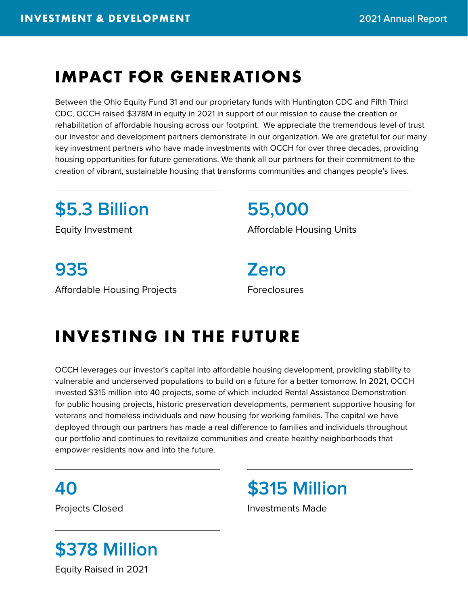### **IMPACT FOR GENERATIONS**

Between the Ohio Equity Fund 31 and our proprietary funds with Huntington CDC and Fifth Third CDC, OCCH raised \$378M in equity in 2021 in support of our mission to cause the creation or rehabilitation of affordable housing across our footprint. We appreciate the tremendous level of trust our investor and development partners demonstrate in our organization. We are grateful for our many key investment partners who have made investments with OCCH for over three decades, providing housing opportunities for future generations. We thank all our partners for their commitment to the creation of vibrant, sustainable housing that transforms communities and changes people's lives.

# **\$5.3 Billion**

# **55,000**

Equity Investment **Equity** Investment **Affordable Housing Units** 

# **935**

Affordable Housing Projects

**Zero** Foreclosures

# **INVESTING IN THE FUTURE**

OCCH leverages our investor's capital into affordable housing development, providing stability to vulnerable and underserved populations to build on a future for a better tomorrow. In 2021, OCCH invested \$315 million into 40 projects, some of which included Rental Assistance Demonstration for public housing projects, historic preservation developments, permanent supportive housing for veterans and homeless individuals and new housing for working families. The capital we have deployed through our partners has made a real difference to families and individuals throughout our portfolio and continues to revitalize communities and create healthy neighborhoods that empower residents now and into the future.

**40**

# **\$378 Million**

Equity Raised in 2021

**\$315 Million**

Projects Closed **Investments** Made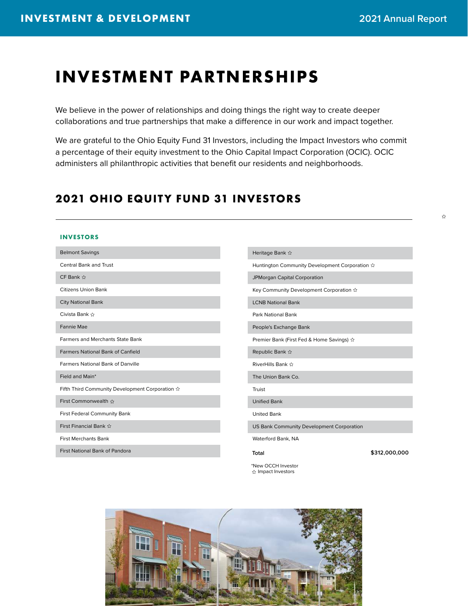☆

### **INVESTMENT PARTNERSHIPS**

We believe in the power of relationships and doing things the right way to create deeper collaborations and true partnerships that make a difference in our work and impact together.

We are grateful to the Ohio Equity Fund 31 Investors, including the Impact Investors who commit a percentage of their equity investment to the Ohio Capital Impact Corporation (OCIC). OCIC administers all philanthropic activities that benefit our residents and neighborhoods.

### **2021 OHIO EQUITY FUND 31 INVESTORS**

#### **INVESTORS**

Heritage Bank ☆ Huntington Community Development Corporation  $\hat{x}$ JPMorgan Capital Corporation Key Community Development Corporation LCNB National Bank Park National Bank People's Exchange Bank Premier Bank (First Fed & Home Savings) **Republic Bank ☆** RiverHills Bank The Union Bank Co. Truist Unified Bank United Bank US Bank Community Development Corporation Waterford Bank, NA Belmont Savings Central Bank and Trust CF Bank ☆ Citizens Union Bank City National Bank Civista Bank Fannie Mae Farmers and Merchants State Bank Farmers National Bank of Canfield Farmers National Bank of Danville Field and Main\* Fifth Third Community Development Corporation  $\hat{x}$ First Commonwealth ☆ First Federal Community Bank First Financial Bank First Merchants Bank First National Bank of Pandora **Total \$312,000,000**

> \*New OCCH Investor ☆ Impact Investors

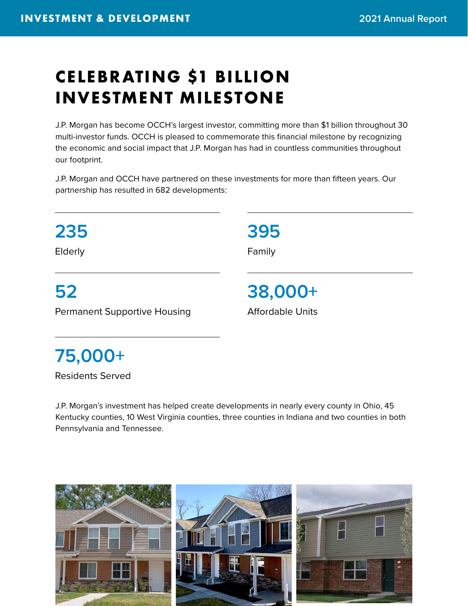# **CELEBRATING \$1 BILLION INVESTMENT MILESTONE**

J.P. Morgan has become OCCH's largest investor, committing more than \$1 billion throughout 30 multi-investor funds. OCCH is pleased to commemorate this financial milestone by recognizing the economic and social impact that J.P. Morgan has had in countless communities throughout our footprint.

J.P. Morgan and OCCH have partnered on these investments for more than fifteen years. Our partnership has resulted in 682 developments:



# **75,000+**

Residents Served

J.P. Morgan's investment has helped create developments in nearly every county in Ohio, 45 Kentucky counties, 10 West Virginia counties, three counties in Indiana and two counties in both Pennsylvania and Tennessee.

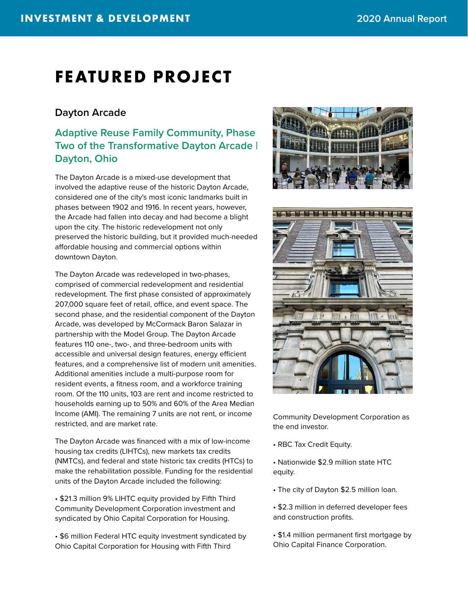### **FEATURED PROJECT**

### **Dayton Arcade**

### **Adaptive Reuse Family Community, Phase Two of the Transformative Dayton Arcade | Dayton, Ohio**

The Dayton Arcade is a mixed-use development that involved the adaptive reuse of the historic Dayton Arcade, considered one of the city's most iconic landmarks built in phases between 1902 and 1916. In recent years, however, the Arcade had fallen into decay and had become a blight upon the city. The historic redevelopment not only preserved the historic building, but it provided much-needed affordable housing and commercial options within downtown Dayton.

The Dayton Arcade was redeveloped in two-phases, comprised of commercial redevelopment and residential redevelopment. The first phase consisted of approximately 207,000 square feet of retail, office, and event space. The second phase, and the residential component of the Dayton Arcade, was developed by McCormack Baron Salazar in partnership with the Model Group. The Dayton Arcade features 110 one-, two-, and three-bedroom units with accessible and universal design features, energy efficient features, and a comprehensive list of modern unit amenities. Additional amenities include a multi-purpose room for resident events, a fitness room, and a workforce training room. Of the 110 units, 103 are rent and income restricted to households earning up to 50% and 60% of the Area Median Income (AMI). The remaining 7 units are not rent, or income restricted, and are market rate.

The Dayton Arcade was financed with a mix of low-income housing tax credits (LIHTCs), new markets tax credits (NMTCs), and federal and state historic tax credits (HTCs) to make the rehabilitation possible. Funding for the residential units of the Dayton Arcade included the following:

• \$21.3 million 9% LIHTC equity provided by Fifth Third Community Development Corporation investment and syndicated by Ohio Capital Corporation for Housing.

• \$6 million Federal HTC equity investment syndicated by Ohio Capital Corporation for Housing with Fifth Third





Community Development Corporation as the end investor.

- RBC Tax Credit Equity.
- Nationwide \$2.9 million state HTC equity.
- The city of Dayton \$2.5 million loan.
- \$2.3 million in deferred developer fees and construction profits.
- \$1.4 million permanent first mortgage by Ohio Capital Finance Corporation.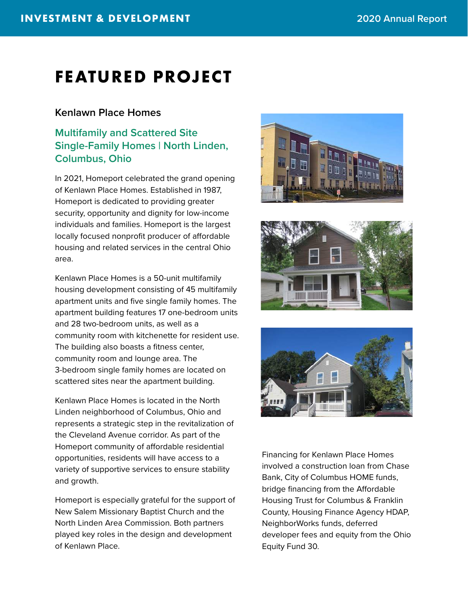### **FEATURED PROJECT**

### **Kenlawn Place Homes**

### **Multifamily and Scattered Site Single-Family Homes | North Linden, Columbus, Ohio**

In 2021, Homeport celebrated the grand opening of Kenlawn Place Homes. Established in 1987, Homeport is dedicated to providing greater security, opportunity and dignity for low-income individuals and families. Homeport is the largest locally focused nonprofit producer of affordable housing and related services in the central Ohio area.

Kenlawn Place Homes is a 50-unit multifamily housing development consisting of 45 multifamily apartment units and five single family homes. The apartment building features 17 one-bedroom units and 28 two-bedroom units, as well as a community room with kitchenette for resident use. The building also boasts a fitness center, community room and lounge area. The 3-bedroom single family homes are located on scattered sites near the apartment building.

Kenlawn Place Homes is located in the North Linden neighborhood of Columbus, Ohio and represents a strategic step in the revitalization of the Cleveland Avenue corridor. As part of the Homeport community of affordable residential opportunities, residents will have access to a variety of supportive services to ensure stability and growth.

Homeport is especially grateful for the support of New Salem Missionary Baptist Church and the North Linden Area Commission. Both partners played key roles in the design and development of Kenlawn Place.







Financing for Kenlawn Place Homes involved a construction loan from Chase Bank, City of Columbus HOME funds, bridge financing from the Affordable Housing Trust for Columbus & Franklin County, Housing Finance Agency HDAP, NeighborWorks funds, deferred developer fees and equity from the Ohio Equity Fund 30.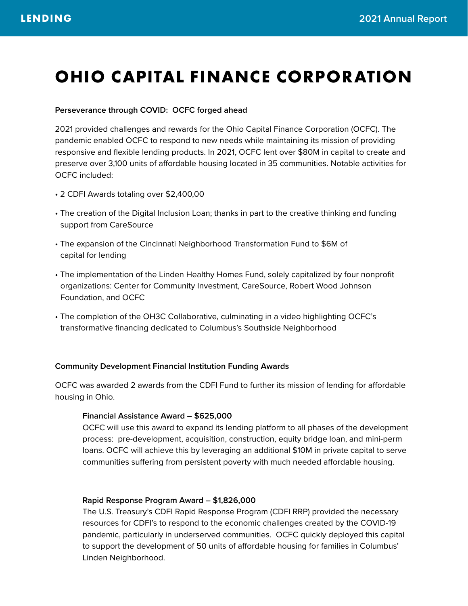### **OHIO CAPITAL FINANCE CORPORATION**

#### **Perseverance through COVID: OCFC forged ahead**

2021 provided challenges and rewards for the Ohio Capital Finance Corporation (OCFC). The pandemic enabled OCFC to respond to new needs while maintaining its mission of providing responsive and flexible lending products. In 2021, OCFC lent over \$80M in capital to create and preserve over 3,100 units of affordable housing located in 35 communities. Notable activities for OCFC included:

- 2 CDFI Awards totaling over \$2,400,00
- The creation of the Digital Inclusion Loan; thanks in part to the creative thinking and funding support from CareSource
- The expansion of the Cincinnati Neighborhood Transformation Fund to \$6M of capital for lending
- The implementation of the Linden Healthy Homes Fund, solely capitalized by four nonprofit organizations: Center for Community Investment, CareSource, Robert Wood Johnson Foundation, and OCFC
- The completion of the OH3C Collaborative, culminating in a video highlighting OCFC's transformative financing dedicated to Columbus's Southside Neighborhood

#### **Community Development Financial Institution Funding Awards**

OCFC was awarded 2 awards from the CDFI Fund to further its mission of lending for affordable housing in Ohio.

#### **Financial Assistance Award – \$625,000**

 OCFC will use this award to expand its lending platform to all phases of the development process: pre-development, acquisition, construction, equity bridge loan, and mini-perm loans. OCFC will achieve this by leveraging an additional \$10M in private capital to serve communities suffering from persistent poverty with much needed affordable housing.

#### **Rapid Response Program Award – \$1,826,000**

The U.S. Treasury's CDFI Rapid Response Program (CDFI RRP) provided the necessary resources for CDFI's to respond to the economic challenges created by the COVID-19 pandemic, particularly in underserved communities. OCFC quickly deployed this capital to support the development of 50 units of affordable housing for families in Columbus' Linden Neighborhood.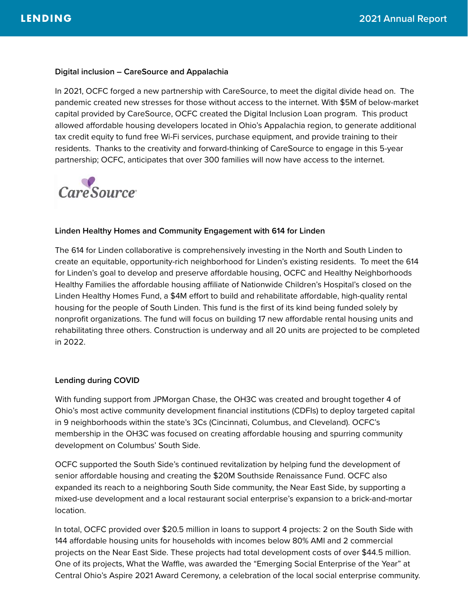#### **Digital inclusion – CareSource and Appalachia**

In 2021, OCFC forged a new partnership with CareSource, to meet the digital divide head on. The pandemic created new stresses for those without access to the internet. With \$5M of below-market capital provided by CareSource, OCFC created the Digital Inclusion Loan program. This product allowed affordable housing developers located in Ohio's Appalachia region, to generate additional tax credit equity to fund free Wi-Fi services, purchase equipment, and provide training to their residents. Thanks to the creativity and forward-thinking of CareSource to engage in this 5-year partnership; OCFC, anticipates that over 300 families will now have access to the internet.



#### **Linden Healthy Homes and Community Engagement with 614 for Linden**

The 614 for Linden collaborative is comprehensively investing in the North and South Linden to create an equitable, opportunity-rich neighborhood for Linden's existing residents. To meet the 614 for Linden's goal to develop and preserve affordable housing, OCFC and Healthy Neighborhoods Healthy Families the affordable housing affiliate of Nationwide Children's Hospital's closed on the Linden Healthy Homes Fund, a \$4M effort to build and rehabilitate affordable, high-quality rental housing for the people of South Linden. This fund is the first of its kind being funded solely by nonprofit organizations. The fund will focus on building 17 new affordable rental housing units and rehabilitating three others. Construction is underway and all 20 units are projected to be completed in 2022.

#### **Lending during COVID**

With funding support from JPMorgan Chase, the OH3C was created and brought together 4 of Ohio's most active community development financial institutions (CDFIs) to deploy targeted capital in 9 neighborhoods within the state's 3Cs (Cincinnati, Columbus, and Cleveland). OCFC's membership in the OH3C was focused on creating affordable housing and spurring community development on Columbus' South Side.

OCFC supported the South Side's continued revitalization by helping fund the development of senior affordable housing and creating the \$20M Southside Renaissance Fund. OCFC also expanded its reach to a neighboring South Side community, the Near East Side, by supporting a mixed-use development and a local restaurant social enterprise's expansion to a brick-and-mortar location.

In total, OCFC provided over \$20.5 million in loans to support 4 projects: 2 on the South Side with 144 affordable housing units for households with incomes below 80% AMI and 2 commercial projects on the Near East Side. These projects had total development costs of over \$44.5 million. One of its projects, What the Waffle, was awarded the "Emerging Social Enterprise of the Year" at Central Ohio's Aspire 2021 Award Ceremony, a celebration of the local social enterprise community.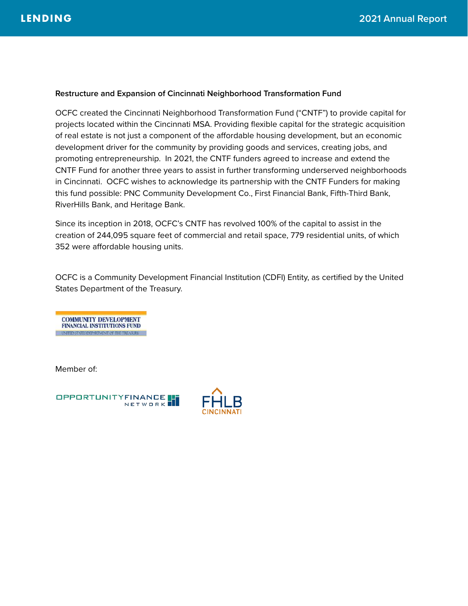#### **Restructure and Expansion of Cincinnati Neighborhood Transformation Fund**

OCFC created the Cincinnati Neighborhood Transformation Fund ("CNTF") to provide capital for projects located within the Cincinnati MSA. Providing flexible capital for the strategic acquisition of real estate is not just a component of the affordable housing development, but an economic development driver for the community by providing goods and services, creating jobs, and promoting entrepreneurship. In 2021, the CNTF funders agreed to increase and extend the CNTF Fund for another three years to assist in further transforming underserved neighborhoods in Cincinnati. OCFC wishes to acknowledge its partnership with the CNTF Funders for making this fund possible: PNC Community Development Co., First Financial Bank, Fifth-Third Bank, RiverHills Bank, and Heritage Bank.

Since its inception in 2018, OCFC's CNTF has revolved 100% of the capital to assist in the creation of 244,095 square feet of commercial and retail space, 779 residential units, of which 352 were affordable housing units.

OCFC is a Community Development Financial Institution (CDFI) Entity, as certified by the United States Department of the Treasury.



Member of:



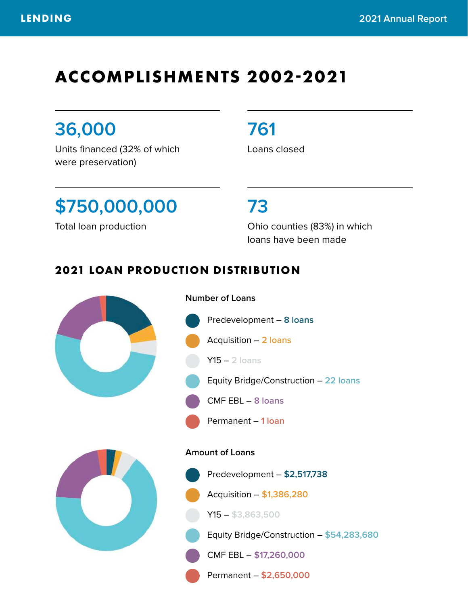### **ACCOMPLISHMENTS 2002-2021**

### **36,000**

Units financed (32% of which were preservation)

### **761**

Loans closed

# **\$750,000,000 73**

Total loan production

Ohio counties (83%) in which loans have been made

### **2021 LOAN PRODUCTION DISTRIBUTION**

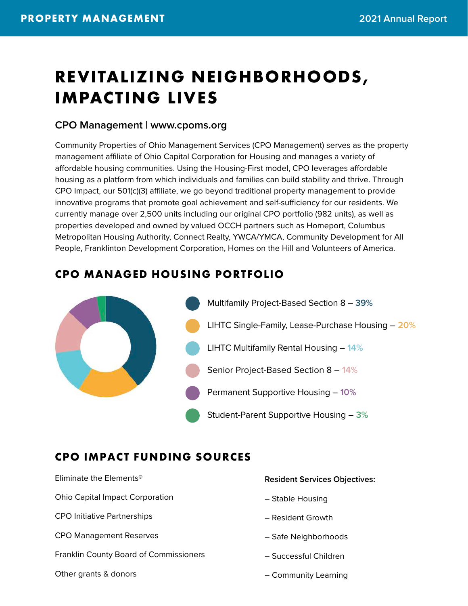# **REVITALIZING NEIGHBORHOODS, IMPACTING LIVES**

### **CPO Management | www.cpoms.org**

Community Properties of Ohio Management Services (CPO Management) serves as the property management affiliate of Ohio Capital Corporation for Housing and manages a variety of affordable housing communities. Using the Housing-First model, CPO leverages affordable housing as a platform from which individuals and families can build stability and thrive. Through CPO Impact, our 501(c)(3) affiliate, we go beyond traditional property management to provide innovative programs that promote goal achievement and self-sufficiency for our residents. We currently manage over 2,500 units including our original CPO portfolio (982 units), as well as properties developed and owned by valued OCCH partners such as Homeport, Columbus Metropolitan Housing Authority, Connect Realty, YWCA/YMCA, Community Development for All People, Franklinton Development Corporation, Homes on the Hill and Volunteers of America.

### **CPO MANAGED HOUSING PORTFOLIO**



### **CPO IMPACT FUNDING SOURCES**

Eliminate the Elements®

Ohio Capital Impact Corporation

CPO Initiative Partnerships

CPO Management Reserves

Franklin County Board of Commissioners

Other grants & donors

#### **Resident Services Objectives:**

- Stable Housing
- Resident Growth
- Safe Neighborhoods
- Successful Children
- Community Learning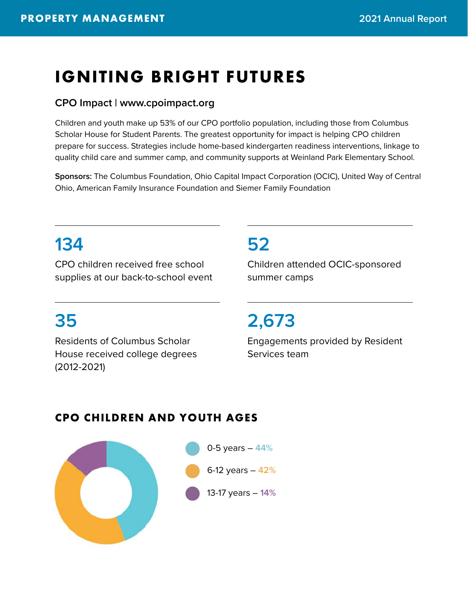### **IGNITING BRIGHT FUTURES**

### **CPO Impact | www.cpoimpact.org**

Children and youth make up 53% of our CPO portfolio population, including those from Columbus Scholar House for Student Parents. The greatest opportunity for impact is helping CPO children prepare for success. Strategies include home-based kindergarten readiness interventions, linkage to quality child care and summer camp, and community supports at Weinland Park Elementary School.

**Sponsors:** The Columbus Foundation, Ohio Capital Impact Corporation (OCIC), United Way of Central Ohio, American Family Insurance Foundation and Siemer Family Foundation

### **134**

CPO children received free school supplies at our back-to-school event

Residents of Columbus Scholar House received college degrees (2012-2021)

### **52**

Children attended OCIC-sponsored summer camps

### **35 2,673**

Engagements provided by Resident Services team

### **CPO CHILDREN AND YOUTH AGES**

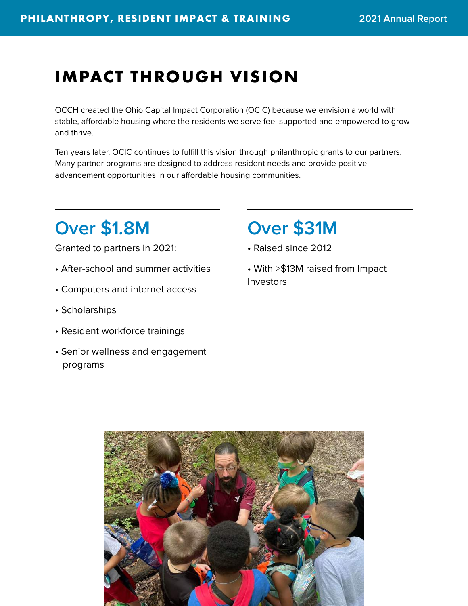## **IMPACT THROUGH VISION**

OCCH created the Ohio Capital Impact Corporation (OCIC) because we envision a world with stable, affordable housing where the residents we serve feel supported and empowered to grow and thrive.

Ten years later, OCIC continues to fulfill this vision through philanthropic grants to our partners. Many partner programs are designed to address resident needs and provide positive advancement opportunities in our affordable housing communities.

### **Over \$1.8M Over \$31M**

Granted to partners in 2021:

- After-school and summer activities
- Computers and internet access
- Scholarships
- Resident workforce trainings
- Senior wellness and engagement programs

- Raised since 2012
- With >\$13M raised from Impact Investors

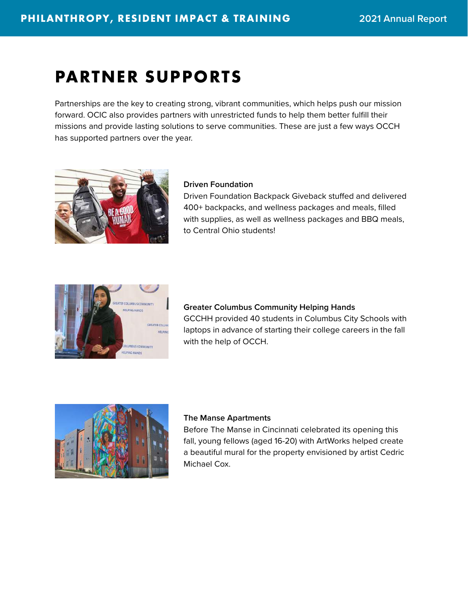### **PARTNER SUPPORTS**

Partnerships are the key to creating strong, vibrant communities, which helps push our mission forward. OCIC also provides partners with unrestricted funds to help them better fulfill their missions and provide lasting solutions to serve communities. These are just a few ways OCCH has supported partners over the year.



#### **Driven Foundation**

Driven Foundation Backpack Giveback stuffed and delivered 400+ backpacks, and wellness packages and meals, filled with supplies, as well as wellness packages and BBQ meals, to Central Ohio students!



### **Greater Columbus Community Helping Hands** GCCHH provided 40 students in Columbus City Schools with

laptops in advance of starting their college careers in the fall with the help of OCCH.



#### **The Manse Apartments**

Before The Manse in Cincinnati celebrated its opening this fall, young fellows (aged 16-20) with ArtWorks helped create a beautiful mural for the property envisioned by artist Cedric Michael Cox.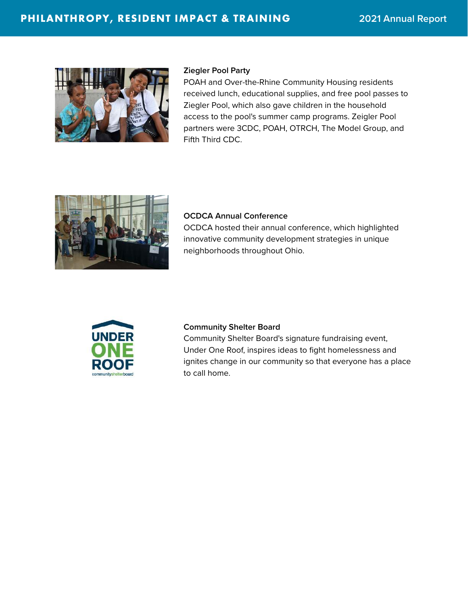

#### **Ziegler Pool Party**

POAH and Over-the-Rhine Community Housing residents received lunch, educational supplies, and free pool passes to Ziegler Pool, which also gave children in the household access to the pool's summer camp programs. Zeigler Pool partners were 3CDC, POAH, OTRCH, The Model Group, and Fifth Third CDC.



#### **OCDCA Annual Conference**

OCDCA hosted their annual conference, which highlighted innovative community development strategies in unique neighborhoods throughout Ohio.



#### **Community Shelter Board**

Community Shelter Board's signature fundraising event, Under One Roof, inspires ideas to fight homelessness and ignites change in our community so that everyone has a place to call home.